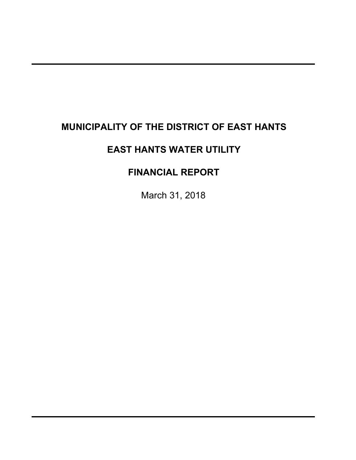# **MUNICIPALITY OF THE DISTRICT OF EAST HANTS**

# **EAST HANTS WATER UTILITY**

# **FINANCIAL REPORT**

March 31, 2018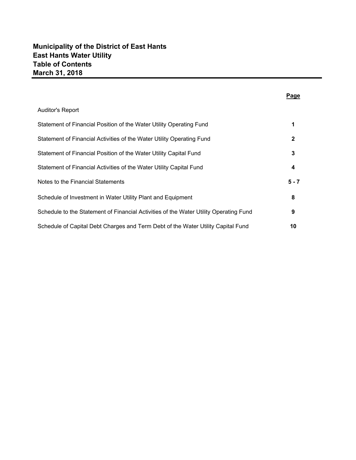|                                                                                       | Page         |
|---------------------------------------------------------------------------------------|--------------|
| <b>Auditor's Report</b>                                                               |              |
| Statement of Financial Position of the Water Utility Operating Fund                   | 1            |
| Statement of Financial Activities of the Water Utility Operating Fund                 | $\mathbf{2}$ |
| Statement of Financial Position of the Water Utility Capital Fund                     | 3            |
| Statement of Financial Activities of the Water Utility Capital Fund                   | 4            |
| Notes to the Financial Statements                                                     | $5 - 7$      |
| Schedule of Investment in Water Utility Plant and Equipment                           | 8            |
| Schedule to the Statement of Financial Activities of the Water Utility Operating Fund | 9            |
| Schedule of Capital Debt Charges and Term Debt of the Water Utility Capital Fund      | 10           |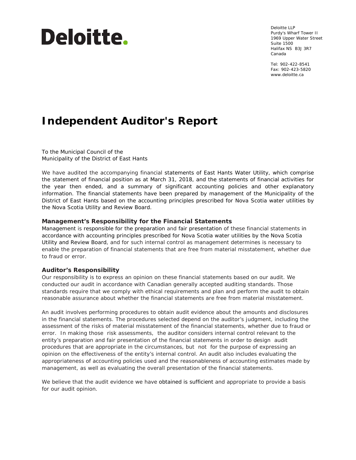# **Deloitte.**

Deloitte LLP Purdy's Wharf Tower II 1969 Upper Water Street Suite 1500 Halifax NS B3J 3R7 Canada

Tel: 902-422-8541 Fax: 902-423-5820 www.deloitte.ca

# **Independent Auditor's Report**

To the Municipal Council of the Municipality of the District of East Hants

We have audited the accompanying financial statements of East Hants Water Utility, which comprise the statement of financial position as at March 31, 2018, and the statements of financial activities for the year then ended, and a summary of significant accounting policies and other explanatory information. The financial statements have been prepared by management of the Municipality of the District of East Hants based on the accounting principles prescribed for Nova Scotia water utilities by the Nova Scotia Utility and Review Board.

#### **Management's Responsibility for the Financial Statements**

Management is responsible for the preparation and fair presentation of these financial statements in accordance with accounting principles prescribed for Nova Scotia water utilities by the Nova Scotia Utility and Review Board, and for such internal control as management determines is necessary to enable the preparation of financial statements that are free from material misstatement, whether due to fraud or error.

#### **Auditor's Responsibility**

Our responsibility is to express an opinion on these financial statements based on our audit. We conducted our audit in accordance with Canadian generally accepted auditing standards. Those standards require that we comply with ethical requirements and plan and perform the audit to obtain reasonable assurance about whether the financial statements are free from material misstatement.

An audit involves performing procedures to obtain audit evidence about the amounts and disclosures in the financial statements. The procedures selected depend on the auditor's judgment, including the assessment of the risks of material misstatement of the financial statements, whether due to fraud or error. In making those risk assessments, the auditor considers internal control relevant to the entity's preparation and fair presentation of the financial statements in order to design audit procedures that are appropriate in the circumstances, but not for the purpose of expressing an opinion on the effectiveness of the entity's internal control. An audit also includes evaluating the appropriateness of accounting policies used and the reasonableness of accounting estimates made by management, as well as evaluating the overall presentation of the financial statements.

We believe that the audit evidence we have obtained is sufficient and appropriate to provide a basis for our audit opinion.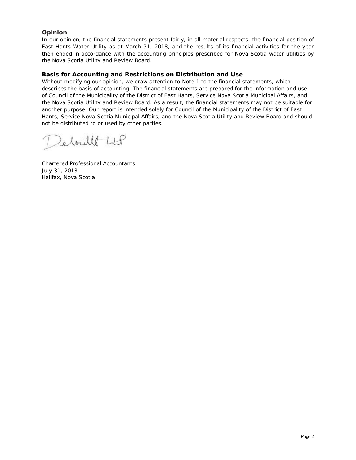#### **Opinion**

In our opinion, the financial statements present fairly, in all material respects, the financial position of East Hants Water Utility as at March 31, 2018, and the results of its financial activities for the year then ended in accordance with the accounting principles prescribed for Nova Scotia water utilities by the Nova Scotia Utility and Review Board.

#### **Basis for Accounting and Restrictions on Distribution and Use**

Without modifying our opinion, we draw attention to Note 1 to the financial statements, which describes the basis of accounting. The financial statements are prepared for the information and use of Council of the Municipality of the District of East Hants, Service Nova Scotia Municipal Affairs, and the Nova Scotia Utility and Review Board. As a result, the financial statements may not be suitable for another purpose. Our report is intended solely for Council of the Municipality of the District of East Hants, Service Nova Scotia Municipal Affairs, and the Nova Scotia Utility and Review Board and should not be distributed to or used by other parties.

ebutter LLP

Chartered Professional Accountants July 31, 2018 Halifax, Nova Scotia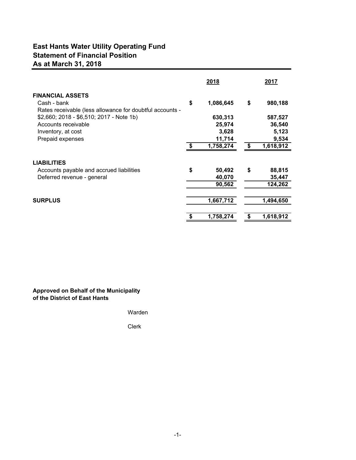## **East Hants Water Utility Operating Fund Statement of Financial Position As at March 31, 2018**

|                                                                                                                                                |    | 2018                       | 2017                              |
|------------------------------------------------------------------------------------------------------------------------------------------------|----|----------------------------|-----------------------------------|
| <b>FINANCIAL ASSETS</b><br>Cash - bank<br>Rates receivable (less allowance for doubtful accounts -<br>\$2,660; 2018 - \$6,510; 2017 - Note 1b) | \$ | 1,086,645                  | \$<br>980,188                     |
| Accounts receivable                                                                                                                            |    | 630,313<br>25,974          | 587,527<br>36,540                 |
| Inventory, at cost                                                                                                                             |    | 3,628                      | 5,123                             |
| Prepaid expenses                                                                                                                               |    | 11,714                     | 9,534                             |
|                                                                                                                                                | S. | 1,758,274                  | \$<br>1,618,912                   |
| <b>LIABILITIES</b><br>Accounts payable and accrued liabilities<br>Deferred revenue - general                                                   | \$ | 50,492<br>40,070<br>90,562 | \$<br>88,815<br>35,447<br>124,262 |
| <b>SURPLUS</b>                                                                                                                                 |    | 1,667,712                  | 1,494,650                         |
|                                                                                                                                                |    | 1,758,274                  | 1,618,912                         |

**Approved on Behalf of the Municipality of the District of East Hants**

Warden

Clerk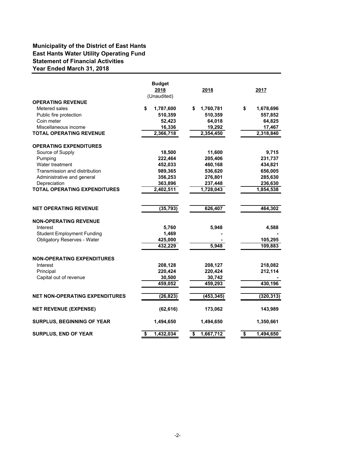#### **Municipality of the District of East Hants East Hants Water Utility Operating Fund Statement of Financial Activities Year Ended March 31, 2018**

|                                                                                                                                                                | <b>Budget</b><br>2018<br>(Unaudited)                          | 2018                                                          |    | 2017                                                         |
|----------------------------------------------------------------------------------------------------------------------------------------------------------------|---------------------------------------------------------------|---------------------------------------------------------------|----|--------------------------------------------------------------|
| <b>OPERATING REVENUE</b><br>Metered sales<br>Public fire protection<br>Coin meter<br>Miscellaneous income                                                      | \$<br>1,787,600<br>510,359<br>52,423<br>16,336                | \$<br>1,760,781<br>510,359<br>64,018<br>19,292                | \$ | 1,678,696<br>557,852<br>64,825<br>17,467                     |
| <b>TOTAL OPERATING REVENUE</b>                                                                                                                                 | 2,366,718                                                     | 2,354,450                                                     |    | 2,318,840                                                    |
| <b>OPERATING EXPENDITURES</b><br>Source of Supply<br>Pumping<br>Water treatment<br>Transmission and distribution<br>Administrative and general<br>Depreciation | 18,500<br>222,464<br>452,033<br>989,365<br>356,253<br>363,896 | 11,600<br>205,406<br>460,168<br>536,620<br>276,801<br>237,448 |    | 9,715<br>231,737<br>434,821<br>656,005<br>285,630<br>236,630 |
| <b>TOTAL OPERATING EXPENDITURES</b>                                                                                                                            | 2,402,511                                                     | 1,728,043                                                     |    | 1,854,538                                                    |
| <b>NET OPERATING REVENUE</b><br><b>NON-OPERATING REVENUE</b><br>Interest                                                                                       | (35, 793)<br>5,760                                            | 626,407<br>5,948                                              |    | 464,302<br>4,588                                             |
| <b>Student Employment Funding</b><br><b>Obligatory Reserves - Water</b>                                                                                        | 1,469<br>425,000<br>432.229                                   | 5,948                                                         |    | 105,295<br>109,883                                           |
| <b>NON-OPERATING EXPENDITURES</b><br>Interest<br>Principal<br>Capital out of revenue                                                                           | 208,128<br>220,424<br>30,500<br>459,052                       | 208,127<br>220,424<br>30,742<br>459,293                       |    | 218,082<br>212,114<br>430,196                                |
| <b>NET NON-OPERATING EXPENDITURES</b>                                                                                                                          | (26, 823)                                                     | (453, 345)                                                    |    | (320, 313)                                                   |
| <b>NET REVENUE (EXPENSE)</b>                                                                                                                                   | (62, 616)                                                     | 173,062                                                       |    | 143,989                                                      |
| <b>SURPLUS, BEGINNING OF YEAR</b>                                                                                                                              | 1,494,650                                                     | 1,494,650                                                     |    | 1,350,661                                                    |
| <b>SURPLUS, END OF YEAR</b>                                                                                                                                    | \$<br>1,432,034                                               | \$<br>1,667,712                                               | \$ | 1,494,650                                                    |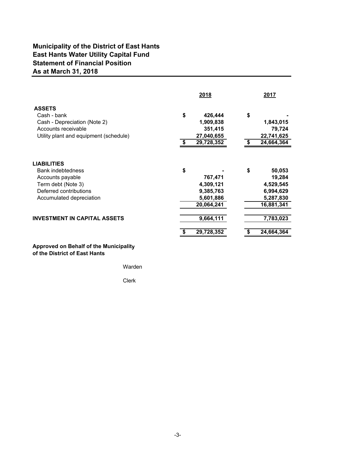### **Municipality of the District of East Hants East Hants Water Utility Capital Fund Statement of Financial Position As at March 31, 2018**

|                                                                                                                                         | <u> 2018 </u>                                                      | <u> 2017 </u>                                                               |
|-----------------------------------------------------------------------------------------------------------------------------------------|--------------------------------------------------------------------|-----------------------------------------------------------------------------|
| <b>ASSETS</b>                                                                                                                           |                                                                    |                                                                             |
| Cash - bank                                                                                                                             | \$<br>426,444                                                      | \$                                                                          |
| Cash - Depreciation (Note 2)                                                                                                            | 1,909,838                                                          | 1,843,015                                                                   |
| Accounts receivable                                                                                                                     | 351,415                                                            | 79,724                                                                      |
| Utility plant and equipment (schedule)                                                                                                  | 27,040,655                                                         | 22,741,625                                                                  |
|                                                                                                                                         | 29,728,352                                                         | 24,664,364                                                                  |
| <b>LIABILITIES</b><br>Bank indebtedness<br>Accounts payable<br>Term debt (Note 3)<br>Deferred contributions<br>Accumulated depreciation | \$<br>767,471<br>4,309,121<br>9,385,763<br>5,601,886<br>20,064,241 | \$<br>50,053<br>19,284<br>4,529,545<br>6,994,629<br>5,287,830<br>16,881,341 |
|                                                                                                                                         |                                                                    |                                                                             |
| <b>INVESTMENT IN CAPITAL ASSETS</b>                                                                                                     | 9,664,111                                                          | 7,783,023                                                                   |
|                                                                                                                                         | 29,728,352                                                         | 24,664,364                                                                  |

#### **Approved on Behalf of the Municipality of the District of East Hants**

Warden

Clerk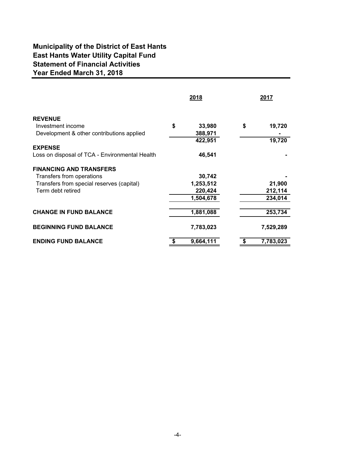## **Municipality of the District of East Hants East Hants Water Utility Capital Fund Statement of Financial Activities Year Ended March 31, 2018**

|                                                | 2018         | <u> 2017 </u> |           |  |
|------------------------------------------------|--------------|---------------|-----------|--|
| <b>REVENUE</b>                                 |              |               |           |  |
| Investment income                              | \$<br>33,980 | \$            | 19,720    |  |
| Development & other contributions applied      | 388,971      |               |           |  |
|                                                | 422,951      |               | 19,720    |  |
| <b>EXPENSE</b>                                 |              |               |           |  |
| Loss on disposal of TCA - Environmental Health | 46,541       |               |           |  |
| <b>FINANCING AND TRANSFERS</b>                 |              |               |           |  |
| Transfers from operations                      | 30,742       |               |           |  |
| Transfers from special reserves (capital)      | 1,253,512    |               | 21,900    |  |
| Term debt retired                              | 220,424      |               | 212,114   |  |
|                                                | 1,504,678    |               | 234,014   |  |
| <b>CHANGE IN FUND BALANCE</b>                  | 1,881,088    |               | 253,734   |  |
| <b>BEGINNING FUND BALANCE</b>                  | 7,783,023    |               | 7,529,289 |  |
| <b>ENDING FUND BALANCE</b>                     | 9,664,111    |               | 7,783,023 |  |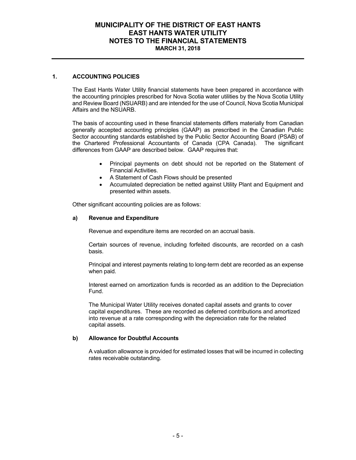#### **MUNICIPALITY OF THE DISTRICT OF EAST HANTS EAST HANTS WATER UTILITY NOTES TO THE FINANCIAL STATEMENTS MARCH 31, 2018**

#### **1. ACCOUNTING POLICIES**

 The East Hants Water Utility financial statements have been prepared in accordance with the accounting principles prescribed for Nova Scotia water utilities by the Nova Scotia Utility and Review Board (NSUARB) and are intended for the use of Council, Nova Scotia Municipal Affairs and the NSUARB.

 The basis of accounting used in these financial statements differs materially from Canadian generally accepted accounting principles (GAAP) as prescribed in the Canadian Public Sector accounting standards established by the Public Sector Accounting Board (PSAB) of the Chartered Professional Accountants of Canada (CPA Canada). The significant differences from GAAP are described below. GAAP requires that:

- Principal payments on debt should not be reported on the Statement of Financial Activities.
- A Statement of Cash Flows should be presented
- Accumulated depreciation be netted against Utility Plant and Equipment and presented within assets.

Other significant accounting policies are as follows:

#### **a) Revenue and Expenditure**

Revenue and expenditure items are recorded on an accrual basis.

 Certain sources of revenue, including forfeited discounts, are recorded on a cash basis.

 Principal and interest payments relating to long-term debt are recorded as an expense when paid.

 Interest earned on amortization funds is recorded as an addition to the Depreciation Fund.

The Municipal Water Utility receives donated capital assets and grants to cover capital expenditures. These are recorded as deferred contributions and amortized into revenue at a rate corresponding with the depreciation rate for the related capital assets.

#### **b) Allowance for Doubtful Accounts**

 A valuation allowance is provided for estimated losses that will be incurred in collecting rates receivable outstanding.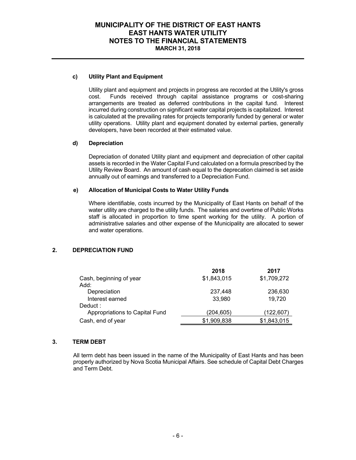#### **MUNICIPALITY OF THE DISTRICT OF EAST HANTS EAST HANTS WATER UTILITY NOTES TO THE FINANCIAL STATEMENTS MARCH 31, 2018**

#### **c) Utility Plant and Equipment**

 Utility plant and equipment and projects in progress are recorded at the Utility's gross cost. Funds received through capital assistance programs or cost-sharing arrangements are treated as deferred contributions in the capital fund. Interest incurred during construction on significant water capital projects is capitalized. Interest is calculated at the prevailing rates for projects temporarily funded by general or water utility operations. Utility plant and equipment donated by external parties, generally developers, have been recorded at their estimated value.

#### **d) Depreciation**

 Depreciation of donated Utility plant and equipment and depreciation of other capital assets is recorded in the Water Capital Fund calculated on a formula prescribed by the Utility Review Board. An amount of cash equal to the deprecation claimed is set aside annually out of earnings and transferred to a Depreciation Fund.

#### **e) Allocation of Municipal Costs to Water Utility Funds**

 Where identifiable, costs incurred by the Municipality of East Hants on behalf of the water utility are charged to the utility funds. The salaries and overtime of Public Works staff is allocated in proportion to time spent working for the utility. A portion of administrative salaries and other expense of the Municipality are allocated to sewer and water operations.

#### **2. DEPRECIATION FUND**

|                                | 2018        | 2017        |
|--------------------------------|-------------|-------------|
| Cash, beginning of year        | \$1,843,015 | \$1,709,272 |
| Add:                           |             |             |
| Depreciation                   | 237,448     | 236,630     |
| Interest earned                | 33,980      | 19,720      |
| Deduct:                        |             |             |
| Appropriations to Capital Fund | (204,605)   | (122, 607)  |
| Cash, end of year              | \$1,909,838 | \$1,843,015 |

#### **3. TERM DEBT**

All term debt has been issued in the name of the Municipality of East Hants and has been properly authorized by Nova Scotia Municipal Affairs. See schedule of Capital Debt Charges and Term Debt.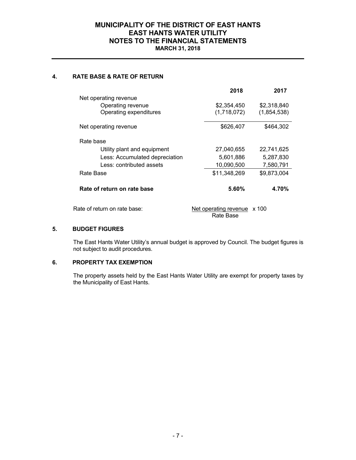#### **MUNICIPALITY OF THE DISTRICT OF EAST HANTS EAST HANTS WATER UTILITY NOTES TO THE FINANCIAL STATEMENTS MARCH 31, 2018**

#### **4. RATE BASE & RATE OF RETURN**

|                                | 2018                  | 2017        |
|--------------------------------|-----------------------|-------------|
| Net operating revenue          |                       |             |
| Operating revenue              | \$2,354,450           | \$2,318,840 |
| Operating expenditures         | (1,718,072)           | (1,854,538) |
| Net operating revenue          | \$626,407             | \$464,302   |
| Rate base                      |                       |             |
| Utility plant and equipment    | 27,040,655            | 22,741,625  |
| Less: Accumulated depreciation | 5,601,886             | 5,287,830   |
| Less: contributed assets       | 10,090,500            | 7,580,791   |
| Rate Base                      | \$11,348,269          | \$9,873,004 |
| Rate of return on rate base    | 5.60%                 | 4.70%       |
| Rate of return on rate base:   | Net operating revenue | x 100       |

Rate Base

#### **5. BUDGET FIGURES**

The East Hants Water Utility's annual budget is approved by Council. The budget figures is not subject to audit procedures.

#### **6. PROPERTY TAX EXEMPTION**

The property assets held by the East Hants Water Utility are exempt for property taxes by the Municipality of East Hants.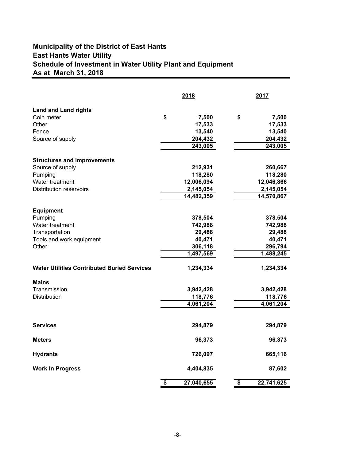## **Schedule of Investment in Water Utility Plant and Equipment Municipality of the District of East Hants East Hants Water Utility As at March 31, 2018**

|                                                    | 2018               | 2017                  |  |  |
|----------------------------------------------------|--------------------|-----------------------|--|--|
| <b>Land and Land rights</b>                        |                    |                       |  |  |
| Coin meter                                         | \$<br>7,500        | \$<br>7,500           |  |  |
| Other                                              | 17,533             | 17,533                |  |  |
| Fence                                              | 13,540             | 13,540                |  |  |
| Source of supply                                   | 204,432            | 204,432               |  |  |
|                                                    | 243,005            | 243,005               |  |  |
|                                                    |                    |                       |  |  |
| <b>Structures and improvements</b>                 |                    |                       |  |  |
| Source of supply                                   | 212,931<br>118,280 | 260,667               |  |  |
| Pumping<br>Water treatment                         | 12,006,094         | 118,280<br>12,046,866 |  |  |
| <b>Distribution reservoirs</b>                     | 2,145,054          | 2,145,054             |  |  |
|                                                    | 14,482,359         | 14,570,867            |  |  |
|                                                    |                    |                       |  |  |
| <b>Equipment</b><br>Pumping                        | 378,504            | 378,504               |  |  |
| Water treatment                                    | 742,988            | 742,988               |  |  |
| Transportation                                     | 29,488             | 29,488                |  |  |
| Tools and work equipment                           | 40,471             | 40,471                |  |  |
| Other                                              | 306,118            | 296,794               |  |  |
|                                                    | 1,497,569          | 1,488,245             |  |  |
|                                                    |                    |                       |  |  |
| <b>Water Utilities Contributed Buried Services</b> | 1,234,334          | 1,234,334             |  |  |
| <b>Mains</b>                                       |                    |                       |  |  |
| Transmission                                       | 3,942,428          | 3,942,428             |  |  |
| Distribution                                       | 118,776            | 118,776               |  |  |
|                                                    | 4,061,204          | 4,061,204             |  |  |
|                                                    |                    |                       |  |  |
| <b>Services</b>                                    | 294,879            | 294,879               |  |  |
| <b>Meters</b>                                      | 96,373             | 96,373                |  |  |
|                                                    |                    |                       |  |  |
| <b>Hydrants</b>                                    | 726,097            | 665,116               |  |  |
| <b>Work In Progress</b>                            | 4,404,835          | 87,602                |  |  |
|                                                    | \$<br>27,040,655   | \$<br>22,741,625      |  |  |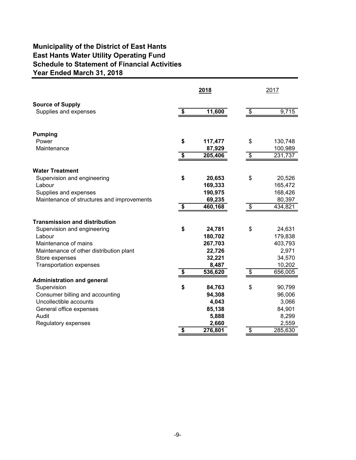## **Municipality of the District of East Hants East Hants Water Utility Operating Fund Schedule to Statement of Financial Activities Year Ended March 31, 2018**

|                                            |                         | 2018    |                                      | 2017    |  |  |
|--------------------------------------------|-------------------------|---------|--------------------------------------|---------|--|--|
| <b>Source of Supply</b>                    |                         |         |                                      |         |  |  |
| Supplies and expenses                      | \$                      | 11,600  | \$                                   | 9,715   |  |  |
|                                            |                         |         |                                      |         |  |  |
| <b>Pumping</b>                             |                         |         |                                      |         |  |  |
| Power                                      | \$                      | 117,477 | \$                                   | 130,748 |  |  |
| Maintenance                                |                         | 87,929  |                                      | 100,989 |  |  |
|                                            | \$                      | 205,406 | \$                                   | 231,737 |  |  |
| <b>Water Treatment</b>                     |                         |         |                                      |         |  |  |
| Supervision and engineering                | \$                      | 20,653  | \$                                   | 20,526  |  |  |
| Labour                                     |                         | 169,333 |                                      | 165,472 |  |  |
| Supplies and expenses                      |                         | 190,975 |                                      | 168,426 |  |  |
| Maintenance of structures and improvements |                         | 69,235  |                                      | 80,397  |  |  |
|                                            | \$                      | 460,168 | \$                                   | 434,821 |  |  |
| <b>Transmission and distribution</b>       |                         |         |                                      |         |  |  |
| Supervision and engineering                | \$                      | 24,781  | \$                                   | 24,631  |  |  |
| Labour                                     |                         | 180,702 |                                      | 179,838 |  |  |
| Maintenance of mains                       |                         | 267,703 |                                      | 403,793 |  |  |
| Maintenance of other distribution plant    |                         | 22,726  |                                      | 2,971   |  |  |
| Store expenses                             |                         | 32,221  |                                      | 34,570  |  |  |
| Transportation expenses                    |                         | 8,487   |                                      | 10,202  |  |  |
|                                            | \$                      | 536,620 | \$                                   | 656,005 |  |  |
| <b>Administration and general</b>          |                         |         |                                      |         |  |  |
| Supervision                                | \$                      | 84,763  | \$                                   | 90,799  |  |  |
| Consumer billing and accounting            |                         | 94,308  |                                      | 96,006  |  |  |
| Uncollectible accounts                     |                         | 4,043   |                                      | 3,066   |  |  |
| General office expenses                    |                         | 85,138  |                                      | 84,901  |  |  |
| Audit                                      |                         | 5,888   |                                      | 8,299   |  |  |
| Regulatory expenses                        |                         | 2,660   |                                      | 2,559   |  |  |
|                                            | $\overline{\mathbf{s}}$ | 276,801 | $\overline{\boldsymbol{\mathsf{S}}}$ | 285,630 |  |  |